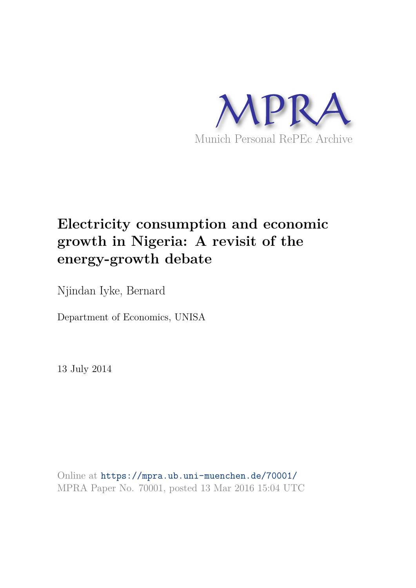

# **Electricity consumption and economic growth in Nigeria: A revisit of the energy-growth debate**

Njindan Iyke, Bernard

Department of Economics, UNISA

13 July 2014

Online at https://mpra.ub.uni-muenchen.de/70001/ MPRA Paper No. 70001, posted 13 Mar 2016 15:04 UTC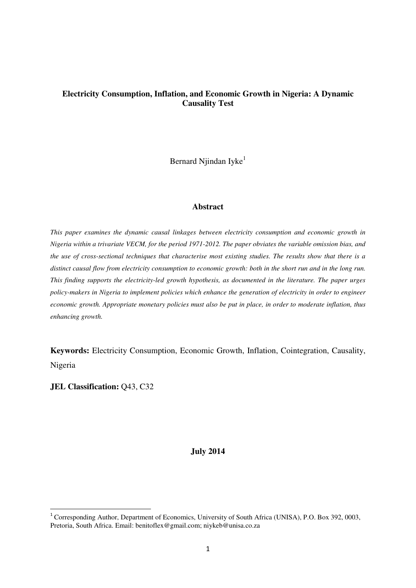## **Electricity Consumption, Inflation, and Economic Growth in Nigeria: A Dynamic Causality Test**

Bernard Njindan Iyke<sup>1</sup>

#### **Abstract**

*This paper examines the dynamic causal linkages between electricity consumption and economic growth in Nigeria within a trivariate VECM, for the period 1971-2012. The paper obviates the variable omission bias, and the use of cross-sectional techniques that characterise most existing studies. The results show that there is a distinct causal flow from electricity consumption to economic growth: both in the short run and in the long run. This finding supports the electricity-led growth hypothesis, as documented in the literature. The paper urges policy-makers in Nigeria to implement policies which enhance the generation of electricity in order to engineer economic growth. Appropriate monetary policies must also be put in place, in order to moderate inflation, thus enhancing growth.* 

**Keywords:** Electricity Consumption, Economic Growth, Inflation, Cointegration, Causality, Nigeria

**JEL Classification: Q43, C32** 

 $\overline{a}$ 

#### **July 2014**

<sup>&</sup>lt;sup>1</sup> Corresponding Author, Department of Economics, University of South Africa (UNISA), P.O. Box 392, 0003, Pretoria, South Africa. Email: benitoflex@gmail.com; niykeb@unisa.co.za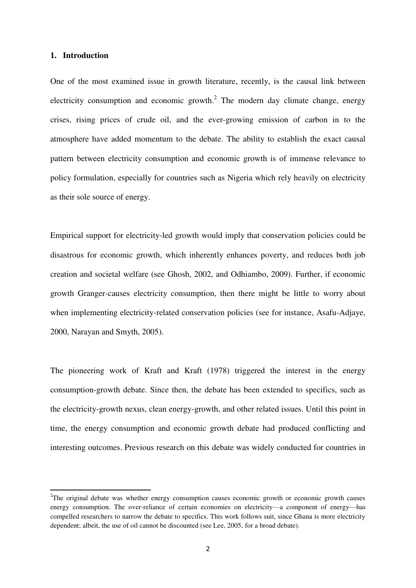#### **1. Introduction**

 $\overline{a}$ 

One of the most examined issue in growth literature, recently, is the causal link between electricity consumption and economic growth. $2$  The modern day climate change, energy crises, rising prices of crude oil, and the ever-growing emission of carbon in to the atmosphere have added momentum to the debate. The ability to establish the exact causal pattern between electricity consumption and economic growth is of immense relevance to policy formulation, especially for countries such as Nigeria which rely heavily on electricity as their sole source of energy.

Empirical support for electricity-led growth would imply that conservation policies could be disastrous for economic growth, which inherently enhances poverty, and reduces both job creation and societal welfare (see Ghosh, 2002, and Odhiambo, 2009). Further, if economic growth Granger-causes electricity consumption, then there might be little to worry about when implementing electricity-related conservation policies (see for instance, Asafu-Adjaye, 2000, Narayan and Smyth, 2005).

The pioneering work of Kraft and Kraft (1978) triggered the interest in the energy consumption-growth debate. Since then, the debate has been extended to specifics, such as the electricity-growth nexus, clean energy-growth, and other related issues. Until this point in time, the energy consumption and economic growth debate had produced conflicting and interesting outcomes. Previous research on this debate was widely conducted for countries in

<sup>&</sup>lt;sup>2</sup>The original debate was whether energy consumption causes economic growth or economic growth causes energy consumption. The over-reliance of certain economies on electricity—a component of energy—has compelled researchers to narrow the debate to specifics. This work follows suit, since Ghana is more electricity dependent; albeit, the use of oil cannot be discounted (see Lee, 2005, for a broad debate).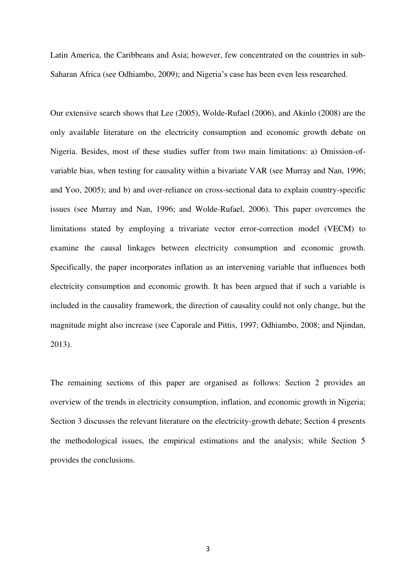Latin America, the Caribbeans and Asia; however, few concentrated on the countries in sub-Saharan Africa (see Odhiambo, 2009); and Nigeria's case has been even less researched.

Our extensive search shows that Lee (2005), Wolde-Rufael (2006), and Akinlo (2008) are the only available literature on the electricity consumption and economic growth debate on Nigeria. Besides, most of these studies suffer from two main limitations: a) Omission-ofvariable bias, when testing for causality within a bivariate VAR (see Murray and Nan, 1996; and Yoo, 2005); and b) and over-reliance on cross-sectional data to explain country-specific issues (see Murray and Nan, 1996; and Wolde-Rufael, 2006). This paper overcomes the limitations stated by employing a trivariate vector error-correction model (VECM) to examine the causal linkages between electricity consumption and economic growth. Specifically, the paper incorporates inflation as an intervening variable that influences both electricity consumption and economic growth. It has been argued that if such a variable is included in the causality framework, the direction of causality could not only change, but the magnitude might also increase (see Caporale and Pittis, 1997; Odhiambo, 2008; and Njindan, 2013).

The remaining sections of this paper are organised as follows: Section 2 provides an overview of the trends in electricity consumption, inflation, and economic growth in Nigeria; Section 3 discusses the relevant literature on the electricity-growth debate; Section 4 presents the methodological issues, the empirical estimations and the analysis; while Section 5 provides the conclusions.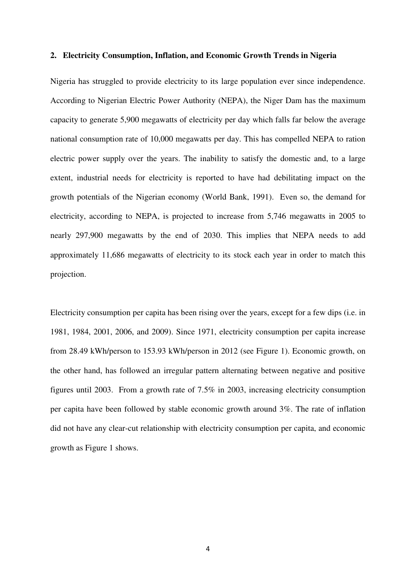#### **2. Electricity Consumption, Inflation, and Economic Growth Trends in Nigeria**

Nigeria has struggled to provide electricity to its large population ever since independence. According to Nigerian Electric Power Authority (NEPA), the Niger Dam has the maximum capacity to generate 5,900 megawatts of electricity per day which falls far below the average national consumption rate of 10,000 megawatts per day. This has compelled NEPA to ration electric power supply over the years. The inability to satisfy the domestic and, to a large extent, industrial needs for electricity is reported to have had debilitating impact on the growth potentials of the Nigerian economy (World Bank, 1991). Even so, the demand for electricity, according to NEPA, is projected to increase from 5,746 megawatts in 2005 to nearly 297,900 megawatts by the end of 2030. This implies that NEPA needs to add approximately 11,686 megawatts of electricity to its stock each year in order to match this projection.

Electricity consumption per capita has been rising over the years, except for a few dips (i.e. in 1981, 1984, 2001, 2006, and 2009). Since 1971, electricity consumption per capita increase from 28.49 kWh/person to 153.93 kWh/person in 2012 (see Figure 1). Economic growth, on the other hand, has followed an irregular pattern alternating between negative and positive figures until 2003. From a growth rate of 7.5% in 2003, increasing electricity consumption per capita have been followed by stable economic growth around 3%. The rate of inflation did not have any clear-cut relationship with electricity consumption per capita, and economic growth as Figure 1 shows.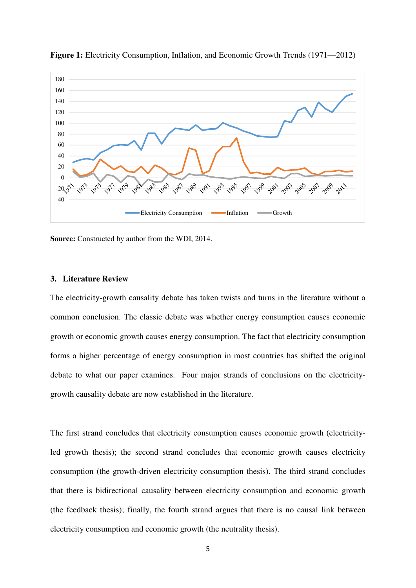

**Figure 1:** Electricity Consumption, Inflation, and Economic Growth Trends (1971—2012)

**Source:** Constructed by author from the WDI, 2014.

#### **3. Literature Review**

The electricity-growth causality debate has taken twists and turns in the literature without a common conclusion. The classic debate was whether energy consumption causes economic growth or economic growth causes energy consumption. The fact that electricity consumption forms a higher percentage of energy consumption in most countries has shifted the original debate to what our paper examines. Four major strands of conclusions on the electricitygrowth causality debate are now established in the literature.

The first strand concludes that electricity consumption causes economic growth (electricityled growth thesis); the second strand concludes that economic growth causes electricity consumption (the growth-driven electricity consumption thesis). The third strand concludes that there is bidirectional causality between electricity consumption and economic growth (the feedback thesis); finally, the fourth strand argues that there is no causal link between electricity consumption and economic growth (the neutrality thesis).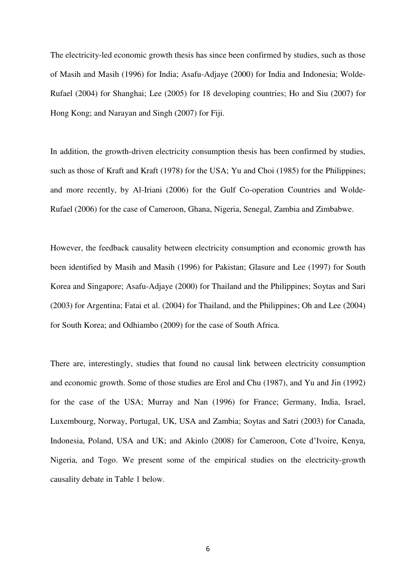The electricity-led economic growth thesis has since been confirmed by studies, such as those of Masih and Masih (1996) for India; Asafu-Adjaye (2000) for India and Indonesia; Wolde-Rufael (2004) for Shanghai; Lee (2005) for 18 developing countries; Ho and Siu (2007) for Hong Kong; and Narayan and Singh (2007) for Fiji.

In addition, the growth-driven electricity consumption thesis has been confirmed by studies, such as those of Kraft and Kraft (1978) for the USA; Yu and Choi (1985) for the Philippines; and more recently, by Al-Iriani (2006) for the Gulf Co-operation Countries and Wolde-Rufael (2006) for the case of Cameroon, Ghana, Nigeria, Senegal, Zambia and Zimbabwe.

However, the feedback causality between electricity consumption and economic growth has been identified by Masih and Masih (1996) for Pakistan; Glasure and Lee (1997) for South Korea and Singapore; Asafu-Adjaye (2000) for Thailand and the Philippines; Soytas and Sari (2003) for Argentina; Fatai et al. (2004) for Thailand, and the Philippines; Oh and Lee (2004) for South Korea; and Odhiambo (2009) for the case of South Africa.

There are, interestingly, studies that found no causal link between electricity consumption and economic growth. Some of those studies are Erol and Chu (1987), and Yu and Jin (1992) for the case of the USA; Murray and Nan (1996) for France; Germany, India, Israel, Luxembourg, Norway, Portugal, UK, USA and Zambia; Soytas and Satri (2003) for Canada, Indonesia, Poland, USA and UK; and Akinlo (2008) for Cameroon, Cote d'Ivoire, Kenya, Nigeria, and Togo. We present some of the empirical studies on the electricity-growth causality debate in Table 1 below.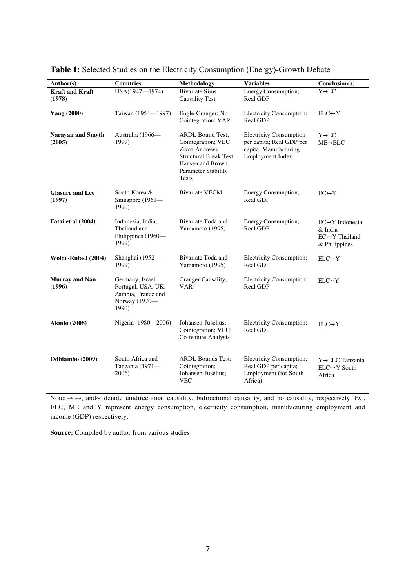| Author(s)                          | <b>Countries</b>                                                                       | <b>Methodology</b>                                                                                                                                                | <b>Variables</b>                                                                                        | Conclusion(s)                                                                               |
|------------------------------------|----------------------------------------------------------------------------------------|-------------------------------------------------------------------------------------------------------------------------------------------------------------------|---------------------------------------------------------------------------------------------------------|---------------------------------------------------------------------------------------------|
| <b>Kraft and Kraft</b><br>(1978)   | USA(1947-1974)                                                                         | <b>Bivariate Sims</b><br><b>Causality Test</b>                                                                                                                    | <b>Energy Consumption;</b><br>Real GDP                                                                  | $Y \rightarrow EC$                                                                          |
| <b>Yang (2000)</b>                 | Taiwan (1954-1997)                                                                     | Engle-Granger; No<br>Cointegration; VAR                                                                                                                           | Electricity Consumption;<br>Real GDP                                                                    | $ELC \leftrightarrow Y$                                                                     |
| <b>Narayan and Smyth</b><br>(2005) | Australia (1966-<br>1999)                                                              | <b>ARDL Bound Test:</b><br>Cointegration; VEC<br>Zivot-Andrews<br><b>Structural Break Test;</b><br>Hansen and Brown<br><b>Parameter Stability</b><br><b>Tests</b> | <b>Electricity Consumption</b><br>per capita; Real GDP per<br>capita; Manufacturing<br>Employment Index | $Y \rightarrow EC$<br>$ME \rightarrow ELC$                                                  |
| <b>Glasure and Lee</b><br>(1997)   | South Korea &<br>Singapore (1961-<br>1990)                                             | <b>Bivariate VECM</b>                                                                                                                                             | Energy Consumption;<br>Real GDP                                                                         | $EC \leftrightarrow Y$                                                                      |
| Fatai et al (2004)                 | Indonesia, India,<br>Thailand and<br>Philippines (1960-<br>1999)                       | Bivariate Toda and<br>Yamamoto (1995)                                                                                                                             | Energy Consumption;<br>Real GDP                                                                         | $EC \rightarrow Y$ Indonesia<br>& India<br>$EC \leftrightarrow Y$ Thailand<br>& Philippines |
| Wolde-Rufael (2004)                | Shanghai (1952-<br>1999)                                                               | Bivariate Toda and<br>Yamamoto (1995)                                                                                                                             | Electricity Consumption;<br>Real GDP                                                                    | $ELC \rightarrow Y$                                                                         |
| <b>Murray and Nan</b><br>(1996)    | Germany, Israel,<br>Portugal, USA, UK,<br>Zambia, France and<br>Norway (1970-<br>1990) | Granger Causality;<br><b>VAR</b>                                                                                                                                  | Electricity Consumption;<br>Real GDP                                                                    | ELC~V                                                                                       |
| <b>Akinlo</b> (2008)               | Nigeria (1980—2006)                                                                    | Johansen-Juselius;<br>Cointegration; VEC;<br>Co-feature Analysis                                                                                                  | Electricity Consumption;<br>Real GDP                                                                    | $ELC \rightarrow Y$                                                                         |
| Odhiambo (2009)                    | South Africa and<br>Tanzania (1971-<br>2006)                                           | <b>ARDL Bounds Test;</b><br>Cointegration;<br>Johansen-Juselius;<br><b>VEC</b>                                                                                    | Electricity Consumption;<br>Real GDP per capita;<br>Employment (for South<br>Africa)                    | Y→ELC Tanzania<br>$ELC \leftrightarrow Y$ South<br>Africa                                   |

**Table 1:** Selected Studies on the Electricity Consumption (Energy)-Growth Debate

Note:  $\rightarrow$ ,  $\leftrightarrow$ , and  $\sim$  denote unidirectional causality, bidirectional causality, and no causality, respectively. EC, ELC, ME and Y represent energy consumption, electricity consumption, manufacturing employment and income (GDP) respectively.

**Source:** Compiled by author from various studies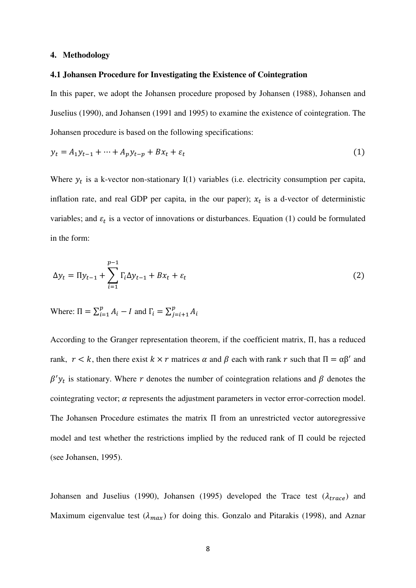#### **4. Methodology**

#### **4.1 Johansen Procedure for Investigating the Existence of Cointegration**

In this paper, we adopt the Johansen procedure proposed by Johansen (1988), Johansen and Juselius (1990), and Johansen (1991 and 1995) to examine the existence of cointegration. The Johansen procedure is based on the following specifications:

$$
y_t = A_1 y_{t-1} + \dots + A_p y_{t-p} + B x_t + \varepsilon_t \tag{1}
$$

Where  $y_t$  is a k-vector non-stationary I(1) variables (i.e. electricity consumption per capita, inflation rate, and real GDP per capita, in the our paper);  $x_t$  is a d-vector of deterministic variables; and  $\varepsilon_t$  is a vector of innovations or disturbances. Equation (1) could be formulated in the form:

$$
\Delta y_t = \Pi y_{t-1} + \sum_{i=1}^{p-1} \Gamma_i \Delta y_{t-1} + Bx_t + \varepsilon_t \tag{2}
$$

Where:  $\Pi = \sum_{i=1}^{p} A_i - I$  and  $\Gamma_i = \sum_{j=i+1}^{p} A_j$ J

According to the Granger representation theorem, if the coefficient matrix,  $\Pi$ , has a reduced rank,  $r < k$ , then there exist  $k \times r$  matrices  $\alpha$  and  $\beta$  each with rank r such that  $\Pi = \alpha \beta'$  and  $\beta' y_t$  is stationary. Where r denotes the number of cointegration relations and  $\beta$  denotes the cointegrating vector;  $\alpha$  represents the adjustment parameters in vector error-correction model. The Johansen Procedure estimates the matrix  $\Pi$  from an unrestricted vector autoregressive model and test whether the restrictions implied by the reduced rank of  $\Pi$  could be rejected (see Johansen, 1995).

Johansen and Juselius (1990), Johansen (1995) developed the Trace test ( $\lambda_{trace}$ ) and Maximum eigenvalue test  $(\lambda_{max})$  for doing this. Gonzalo and Pitarakis (1998), and Aznar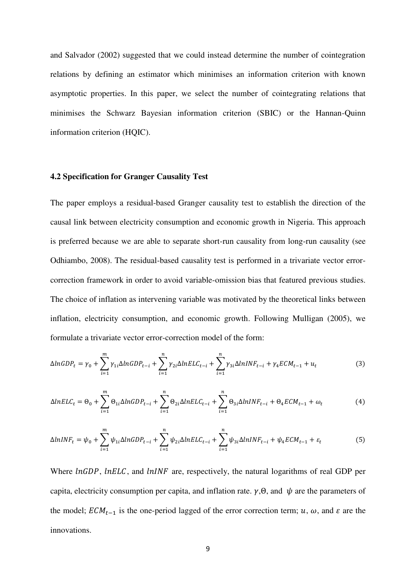and Salvador (2002) suggested that we could instead determine the number of cointegration relations by defining an estimator which minimises an information criterion with known asymptotic properties. In this paper, we select the number of cointegrating relations that minimises the Schwarz Bayesian information criterion (SBIC) or the Hannan-Quinn information criterion (HQIC).

#### **4.2 Specification for Granger Causality Test**

The paper employs a residual-based Granger causality test to establish the direction of the causal link between electricity consumption and economic growth in Nigeria. This approach is preferred because we are able to separate short-run causality from long-run causality (see Odhiambo, 2008). The residual-based causality test is performed in a trivariate vector errorcorrection framework in order to avoid variable-omission bias that featured previous studies. The choice of inflation as intervening variable was motivated by the theoretical links between inflation, electricity consumption, and economic growth. Following Mulligan (2005), we formulate a trivariate vector error-correction model of the form:

$$
\Delta ln GDP_t = \gamma_0 + \sum_{i=1}^{m} \gamma_{1i} \Delta ln GDP_{t-i} + \sum_{i=1}^{n} \gamma_{2i} \Delta ln ELC_{t-i} + \sum_{i=1}^{n} \gamma_{3i} \Delta ln INF_{t-i} + \gamma_4 ECM_{t-1} + u_t
$$
(3)

$$
\Delta InELC_t = \Theta_0 + \sum_{i=1}^m \Theta_{1i} \Delta InGDP_{t-i} + \sum_{i=1}^n \Theta_{2i} \Delta InELC_{t-i} + \sum_{i=1}^n \Theta_{3i} \Delta InINF_{t-i} + \Theta_4 ECM_{t-1} + \omega_t
$$
\n
$$
\tag{4}
$$

$$
\Delta lnINF_t = \psi_0 + \sum_{i=1}^{m} \psi_{1i} \Delta lnGDP_{t-i} + \sum_{i=1}^{n} \psi_{2i} \Delta lnELC_{t-i} + \sum_{i=1}^{n} \psi_{3i} \Delta lnINF_{t-i} + \psi_4 ECM_{t-1} + \varepsilon_t
$$
(5)

Where  $lnGDP$ ,  $lnELC$ , and  $lnINF$  are, respectively, the natural logarithms of real GDP per capita, electricity consumption per capita, and inflation rate.  $\gamma$ ,  $\Theta$ , and  $\psi$  are the parameters of the model;  $ECM_{t-1}$  is the one-period lagged of the error correction term; u,  $\omega$ , and  $\varepsilon$  are the innovations.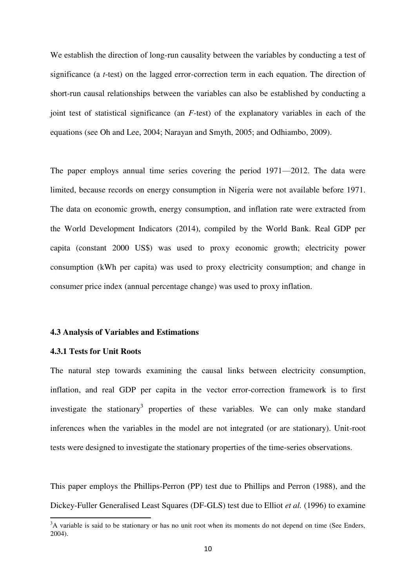We establish the direction of long-run causality between the variables by conducting a test of significance (a *t*-test) on the lagged error-correction term in each equation. The direction of short-run causal relationships between the variables can also be established by conducting a joint test of statistical significance (an *F-*test) of the explanatory variables in each of the equations (see Oh and Lee, 2004; Narayan and Smyth, 2005; and Odhiambo, 2009).

The paper employs annual time series covering the period 1971—2012. The data were limited, because records on energy consumption in Nigeria were not available before 1971. The data on economic growth, energy consumption, and inflation rate were extracted from the World Development Indicators (2014), compiled by the World Bank. Real GDP per capita (constant 2000 US\$) was used to proxy economic growth; electricity power consumption (kWh per capita) was used to proxy electricity consumption; and change in consumer price index (annual percentage change) was used to proxy inflation.

#### **4.3 Analysis of Variables and Estimations**

#### **4.3.1 Tests for Unit Roots**

 $\overline{a}$ 

The natural step towards examining the causal links between electricity consumption, inflation, and real GDP per capita in the vector error-correction framework is to first investigate the stationary<sup>3</sup> properties of these variables. We can only make standard inferences when the variables in the model are not integrated (or are stationary). Unit-root tests were designed to investigate the stationary properties of the time-series observations.

This paper employs the Phillips-Perron (PP) test due to Phillips and Perron (1988), and the Dickey-Fuller Generalised Least Squares (DF-GLS) test due to Elliot *et al.* (1996) to examine

<sup>&</sup>lt;sup>3</sup>A variable is said to be stationary or has no unit root when its moments do not depend on time (See Enders, 2004).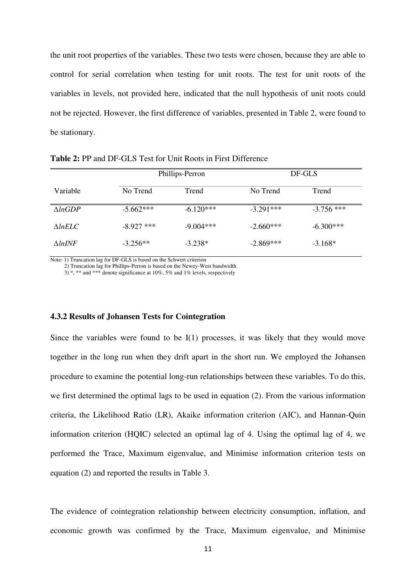the unit root properties of the variables. These two tests were chosen, because they are able to control for serial correlation when testing for unit roots. The test for unit roots of the variables in levels, not provided here, indicated that the null hypothesis of unit roots could not be rejected. However, the first difference of variables, presented in Table 2, were found to be stationary.

|                    | Phillips-Perron |             | DF-GLS      |              |
|--------------------|-----------------|-------------|-------------|--------------|
| Variable           | No Trend        | Trend       | No Trend    | Trend        |
| $\triangle ln GDP$ | $-5.662***$     | $-6.120***$ | $-3.291***$ | $-3.756$ *** |
| $\triangle InELC$  | $-8.927$ ***    | $-9.004***$ | $-2.660***$ | $-6.300***$  |
| $\Lambda ln$ INF   | $-3.256**$      | $-3.238*$   | $-2.869***$ | $-3.168*$    |

**Table 2:** PP and DF-GLS Test for Unit Roots in First Difference

Note: 1) Truncation lag for DF-GLS is based on the Schwert criterion

2) Truncation lag for Phillips-Perron is based on the Newey-West bandwidth

 $3$ ) \*, \*\* and \*\*\* denote significance at 10%, 5% and 1% levels, respectively

#### **4.3.2 Results of Johansen Tests for Cointegration**

Since the variables were found to be  $I(1)$  processes, it was likely that they would move together in the long run when they drift apart in the short run. We employed the Johansen procedure to examine the potential long-run relationships between these variables. To do this, we first determined the optimal lags to be used in equation (2). From the various information criteria, the Likelihood Ratio (LR), Akaike information criterion (AIC), and Hannan-Quin information criterion (HQIC) selected an optimal lag of 4. Using the optimal lag of 4, we performed the Trace, Maximum eigenvalue, and Minimise information criterion tests on equation (2) and reported the results in Table 3.

The evidence of cointegration relationship between electricity consumption, inflation, and economic growth was confirmed by the Trace, Maximum eigenvalue, and Minimise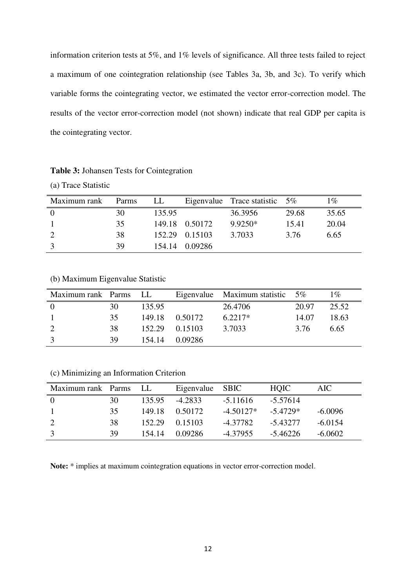information criterion tests at 5%, and 1% levels of significance. All three tests failed to reject a maximum of one cointegration relationship (see Tables 3a, 3b, and 3c). To verify which variable forms the cointegrating vector, we estimated the vector error-correction model. The results of the vector error-correction model (not shown) indicate that real GDP per capita is the cointegrating vector.

| Maximum rank   | Parms | LL     |                | Eigenvalue Trace statistic $5\%$ |       | $1\%$ |
|----------------|-------|--------|----------------|----------------------------------|-------|-------|
| $\overline{0}$ | 30    | 135.95 |                | 36.3956                          | 29.68 | 35.65 |
|                | 35    |        | 149.18 0.50172 | $9.9250*$                        | 15.41 | 20.04 |
|                | 38    |        | 152.29 0.15103 | 3.7033                           | 3.76  | 6.65  |
| 3              | 39    | 154.14 | 0.09286        |                                  |       |       |

(b) Maximum Eigenvalue Statistic

| Maximum rank Parms LL |     |        |                 | Eigenvalue Maximum statistic $5\%$ |       | $1\%$ |
|-----------------------|-----|--------|-----------------|------------------------------------|-------|-------|
| $\overline{0}$        | 30  | 135.95 |                 | 26.4706                            | 20.97 | 25.52 |
|                       | 35  |        | 149.18  0.50172 | $6.2217*$                          | 14.07 | 18.63 |
|                       | 38. |        | 152.29 0.15103  | 3.7033                             | 3.76  | 6.65  |
|                       | 39  | 154.14 | 0.09286         |                                    |       |       |

(c) Minimizing an Information Criterion

| Maximum rank Parms LL |    |        | Eigenvalue SBIC |             | <b>HOIC</b> | AIC       |
|-----------------------|----|--------|-----------------|-------------|-------------|-----------|
| $\theta$              | 30 | 135.95 | -4.2833         | $-5.11616$  | $-5.57614$  |           |
| -1                    | 35 | 149.18 | 0.50172         | $-4.50127*$ | $-5.4729*$  | $-6.0096$ |
| 2                     | 38 | 152.29 | 0.15103         | -4.37782    | -5.43277    | $-6.0154$ |
| 3                     | 39 | 154.14 | 0.09286         | -4.37955    | -5.46226    | $-6.0602$ |

**Note:** \* implies at maximum cointegration equations in vector error-correction model.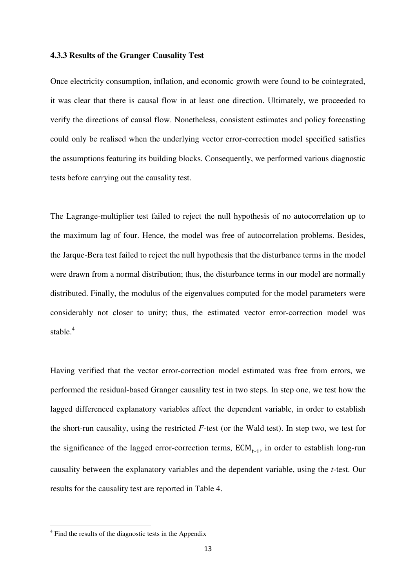#### **4.3.3 Results of the Granger Causality Test**

Once electricity consumption, inflation, and economic growth were found to be cointegrated, it was clear that there is causal flow in at least one direction. Ultimately, we proceeded to verify the directions of causal flow. Nonetheless, consistent estimates and policy forecasting could only be realised when the underlying vector error-correction model specified satisfies the assumptions featuring its building blocks. Consequently, we performed various diagnostic tests before carrying out the causality test.

The Lagrange-multiplier test failed to reject the null hypothesis of no autocorrelation up to the maximum lag of four. Hence, the model was free of autocorrelation problems. Besides, the Jarque-Bera test failed to reject the null hypothesis that the disturbance terms in the model were drawn from a normal distribution; thus, the disturbance terms in our model are normally distributed. Finally, the modulus of the eigenvalues computed for the model parameters were considerably not closer to unity; thus, the estimated vector error-correction model was stable.<sup>4</sup>

Having verified that the vector error-correction model estimated was free from errors, we performed the residual-based Granger causality test in two steps. In step one, we test how the lagged differenced explanatory variables affect the dependent variable, in order to establish the short-run causality, using the restricted *F*-test (or the Wald test). In step two, we test for the significance of the lagged error-correction terms,  $ECM_{t-1}$ , in order to establish long-run causality between the explanatory variables and the dependent variable, using the *t*-test. Our results for the causality test are reported in Table 4.

 $\overline{a}$ 

<sup>&</sup>lt;sup>4</sup> Find the results of the diagnostic tests in the Appendix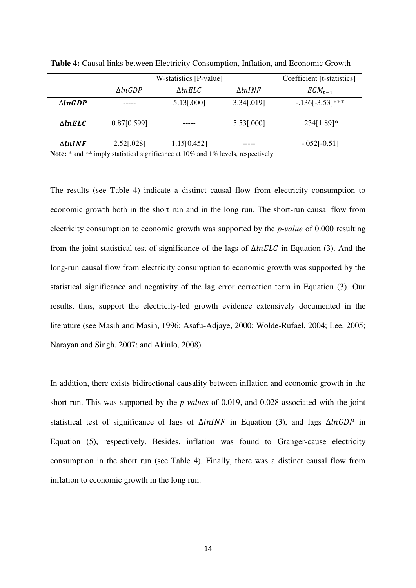|                    | W-statistics [P-value] |                   | Coefficient [t-statistics] |                  |
|--------------------|------------------------|-------------------|----------------------------|------------------|
|                    | $\Delta ln GDP$        | $\triangle InELC$ | $\Delta lnINF$             | $ECM_{t-1}$      |
| $\triangle ln GDP$ |                        | 5.13[.000]        | 3.34[.019]                 | $-136[-3.53]***$ |
| $\triangle InELC$  | 0.87[0.599]            |                   | 5.53[.000]                 | $.234[1.89]*$    |
| $\Delta lnINF$     | 2.52[.028]             | 1.15[0.452]       |                            | $-.052[-0.51]$   |

**Table 4:** Causal links between Electricity Consumption, Inflation, and Economic Growth

**Note:** \* and \*\* imply statistical significance at 10% and 1% levels, respectively.

The results (see Table 4) indicate a distinct causal flow from electricity consumption to economic growth both in the short run and in the long run. The short-run causal flow from electricity consumption to economic growth was supported by the *p-value* of 0.000 resulting from the joint statistical test of significance of the lags of  $\Delta InELC$  in Equation (3). And the long-run causal flow from electricity consumption to economic growth was supported by the statistical significance and negativity of the lag error correction term in Equation (3). Our results, thus, support the electricity-led growth evidence extensively documented in the literature (see Masih and Masih, 1996; Asafu-Adjaye, 2000; Wolde-Rufael, 2004; Lee, 2005; Narayan and Singh, 2007; and Akinlo, 2008).

In addition, there exists bidirectional causality between inflation and economic growth in the short run. This was supported by the *p-values* of 0.019, and 0.028 associated with the joint statistical test of significance of lags of  $\Delta ln INF$  in Equation (3), and lags  $\Delta ln GDP$  in Equation (5), respectively. Besides, inflation was found to Granger-cause electricity consumption in the short run (see Table 4). Finally, there was a distinct causal flow from inflation to economic growth in the long run.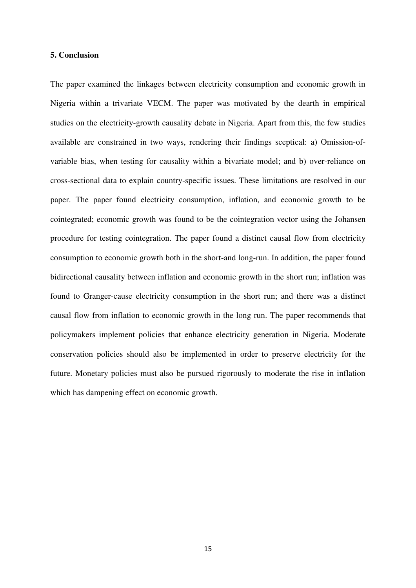#### **5. Conclusion**

The paper examined the linkages between electricity consumption and economic growth in Nigeria within a trivariate VECM. The paper was motivated by the dearth in empirical studies on the electricity-growth causality debate in Nigeria. Apart from this, the few studies available are constrained in two ways, rendering their findings sceptical: a) Omission-ofvariable bias, when testing for causality within a bivariate model; and b) over-reliance on cross-sectional data to explain country-specific issues. These limitations are resolved in our paper. The paper found electricity consumption, inflation, and economic growth to be cointegrated; economic growth was found to be the cointegration vector using the Johansen procedure for testing cointegration. The paper found a distinct causal flow from electricity consumption to economic growth both in the short-and long-run. In addition, the paper found bidirectional causality between inflation and economic growth in the short run; inflation was found to Granger-cause electricity consumption in the short run; and there was a distinct causal flow from inflation to economic growth in the long run. The paper recommends that policymakers implement policies that enhance electricity generation in Nigeria. Moderate conservation policies should also be implemented in order to preserve electricity for the future. Monetary policies must also be pursued rigorously to moderate the rise in inflation which has dampening effect on economic growth.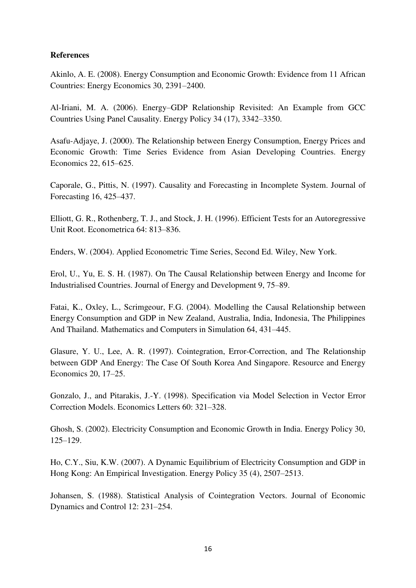## **References**

Akinlo, A. E. (2008). Energy Consumption and Economic Growth: Evidence from 11 African Countries: Energy Economics 30, 2391–2400.

Al-Iriani, M. A. (2006). Energy–GDP Relationship Revisited: An Example from GCC Countries Using Panel Causality. Energy Policy 34 (17), 3342–3350.

Asafu-Adjaye, J. (2000). The Relationship between Energy Consumption, Energy Prices and Economic Growth: Time Series Evidence from Asian Developing Countries. Energy Economics 22, 615–625.

Caporale, G., Pittis, N. (1997). Causality and Forecasting in Incomplete System. Journal of Forecasting 16, 425–437.

Elliott, G. R., Rothenberg, T. J., and Stock, J. H. (1996). Efficient Tests for an Autoregressive Unit Root. Econometrica 64: 813–836.

Enders, W. (2004). Applied Econometric Time Series, Second Ed. Wiley, New York.

Erol, U., Yu, E. S. H. (1987). On The Causal Relationship between Energy and Income for Industrialised Countries. Journal of Energy and Development 9, 75–89.

Fatai, K., Oxley, L., Scrimgeour, F.G. (2004). Modelling the Causal Relationship between Energy Consumption and GDP in New Zealand, Australia, India, Indonesia, The Philippines And Thailand. Mathematics and Computers in Simulation 64, 431–445.

Glasure, Y. U., Lee, A. R. (1997). Cointegration, Error-Correction, and The Relationship between GDP And Energy: The Case Of South Korea And Singapore. Resource and Energy Economics 20, 17–25.

Gonzalo, J., and Pitarakis, J.-Y. (1998). Specification via Model Selection in Vector Error Correction Models. Economics Letters 60: 321–328.

Ghosh, S. (2002). Electricity Consumption and Economic Growth in India. Energy Policy 30, 125–129.

Ho, C.Y., Siu, K.W. (2007). A Dynamic Equilibrium of Electricity Consumption and GDP in Hong Kong: An Empirical Investigation. Energy Policy 35 (4), 2507–2513.

Johansen, S. (1988). Statistical Analysis of Cointegration Vectors. Journal of Economic Dynamics and Control 12: 231–254.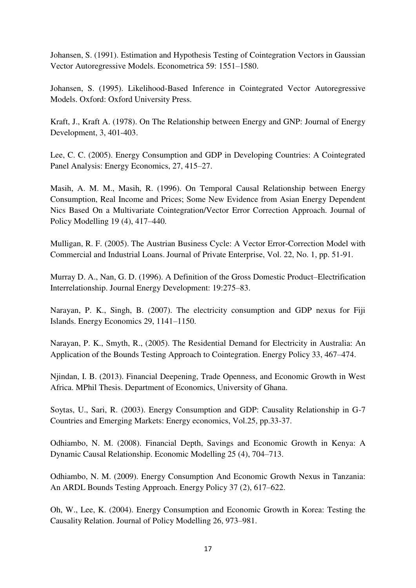Johansen, S. (1991). Estimation and Hypothesis Testing of Cointegration Vectors in Gaussian Vector Autoregressive Models. Econometrica 59: 1551–1580.

Johansen, S. (1995). Likelihood-Based Inference in Cointegrated Vector Autoregressive Models. Oxford: Oxford University Press.

Kraft, J., Kraft A. (1978). On The Relationship between Energy and GNP: Journal of Energy Development, 3, 401-403.

Lee, C. C. (2005). Energy Consumption and GDP in Developing Countries: A Cointegrated Panel Analysis: Energy Economics, 27, 415–27.

Masih, A. M. M., Masih, R. (1996). On Temporal Causal Relationship between Energy Consumption, Real Income and Prices; Some New Evidence from Asian Energy Dependent Nics Based On a Multivariate Cointegration/Vector Error Correction Approach. Journal of Policy Modelling 19 (4), 417–440.

Mulligan, R. F. (2005). The Austrian Business Cycle: A Vector Error-Correction Model with Commercial and Industrial Loans. Journal of Private Enterprise, Vol. 22, No. 1, pp. 51-91.

Murray D. A., Nan, G. D. (1996). A Definition of the Gross Domestic Product–Electrification Interrelationship. Journal Energy Development: 19:275–83.

Narayan, P. K., Singh, B. (2007). The electricity consumption and GDP nexus for Fiji Islands. Energy Economics 29, 1141–1150.

Narayan, P. K., Smyth, R., (2005). The Residential Demand for Electricity in Australia: An Application of the Bounds Testing Approach to Cointegration. Energy Policy 33, 467–474.

Njindan, I. B. (2013). Financial Deepening, Trade Openness, and Economic Growth in West Africa. MPhil Thesis. Department of Economics, University of Ghana.

Soytas, U., Sari, R. (2003). Energy Consumption and GDP: Causality Relationship in G-7 Countries and Emerging Markets: Energy economics, Vol.25, pp.33-37.

Odhiambo, N. M. (2008). Financial Depth, Savings and Economic Growth in Kenya: A Dynamic Causal Relationship. Economic Modelling 25 (4), 704–713.

Odhiambo, N. M. (2009). Energy Consumption And Economic Growth Nexus in Tanzania: An ARDL Bounds Testing Approach. Energy Policy 37 (2), 617–622.

Oh, W., Lee, K. (2004). Energy Consumption and Economic Growth in Korea: Testing the Causality Relation. Journal of Policy Modelling 26, 973–981.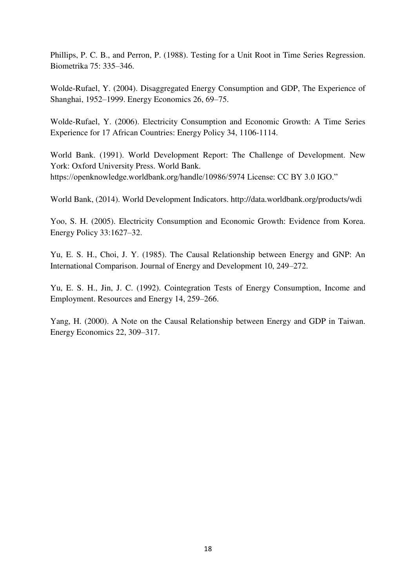Phillips, P. C. B., and Perron, P. (1988). Testing for a Unit Root in Time Series Regression. Biometrika 75: 335–346.

Wolde-Rufael, Y. (2004). Disaggregated Energy Consumption and GDP, The Experience of Shanghai, 1952–1999. Energy Economics 26, 69–75.

Wolde-Rufael, Y. (2006). Electricity Consumption and Economic Growth: A Time Series Experience for 17 African Countries: Energy Policy 34, 1106-1114.

World Bank. (1991). World Development Report: The Challenge of Development. New York: Oxford University Press. World Bank. https://openknowledge.worldbank.org/handle/10986/5974 License: CC BY 3.0 IGO."

World Bank, (2014). World Development Indicators. http://data.worldbank.org/products/wdi

Yoo, S. H. (2005). Electricity Consumption and Economic Growth: Evidence from Korea. Energy Policy 33:1627–32.

Yu, E. S. H., Choi, J. Y. (1985). The Causal Relationship between Energy and GNP: An International Comparison. Journal of Energy and Development 10, 249–272.

Yu, E. S. H., Jin, J. C. (1992). Cointegration Tests of Energy Consumption, Income and Employment. Resources and Energy 14, 259–266.

Yang, H. (2000). A Note on the Causal Relationship between Energy and GDP in Taiwan. Energy Economics 22, 309–317.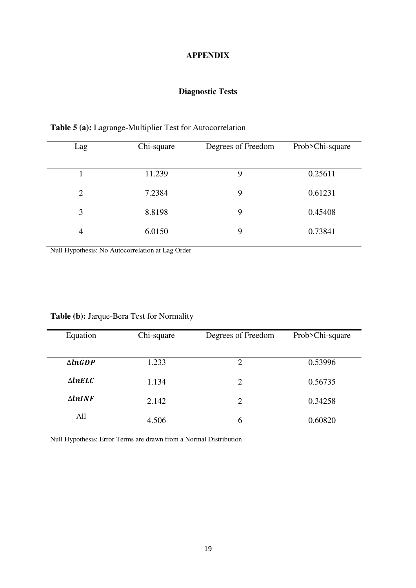#### **APPENDIX**

# **Diagnostic Tests**

| Lag            | Chi-square | Degrees of Freedom | Prob>Chi-square |
|----------------|------------|--------------------|-----------------|
|                | 11.239     | 9                  | 0.25611         |
| $\overline{2}$ | 7.2384     | 9                  | 0.61231         |
| 3              | 8.8198     | 9                  | 0.45408         |
| $\overline{4}$ | 6.0150     | 9                  | 0.73841         |

**Table 5 (a):** Lagrange-Multiplier Test for Autocorrelation

Null Hypothesis: No Autocorrelation at Lag Order

| Equation          | Chi-square | Degrees of Freedom | Prob>Chi-square |
|-------------------|------------|--------------------|-----------------|
|                   |            |                    |                 |
| $\triangle InGDP$ | 1.233      | $\overline{2}$     | 0.53996         |
| $\triangle InELC$ | 1.134      | $\overline{2}$     | 0.56735         |
| $\triangle InINF$ | 2.142      | $\overline{2}$     | 0.34258         |
| All               | 4.506      | 6                  | 0.60820         |

# **Table (b):** Jarque-Bera Test for Normality

Null Hypothesis: Error Terms are drawn from a Normal Distribution